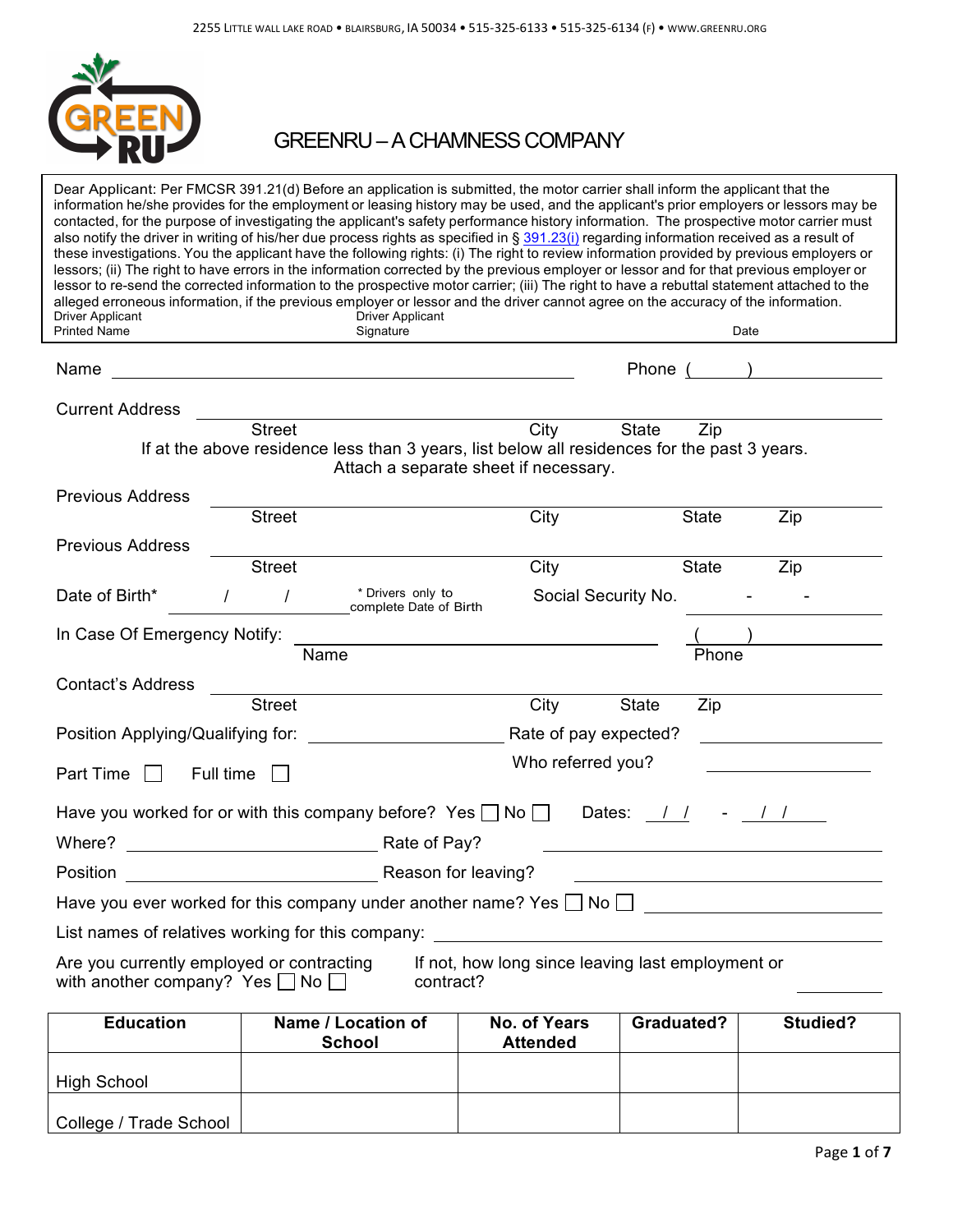

# GREENRU –A CHAMNESS COMPANY

| Driver Applicant                                                                                                                                          | Dear Applicant: Per FMCSR 391.21(d) Before an application is submitted, the motor carrier shall inform the applicant that the<br>information he/she provides for the employment or leasing history may be used, and the applicant's prior employers or lessors may be<br>contacted, for the purpose of investigating the applicant's safety performance history information. The prospective motor carrier must<br>also notify the driver in writing of his/her due process rights as specified in § 391.23(i) regarding information received as a result of<br>these investigations. You the applicant have the following rights: (i) The right to review information provided by previous employers or<br>lessors; (ii) The right to have errors in the information corrected by the previous employer or lessor and for that previous employer or<br>lessor to re-send the corrected information to the prospective motor carrier; (iii) The right to have a rebuttal statement attached to the<br>alleged erroneous information, if the previous employer or lessor and the driver cannot agree on the accuracy of the information.<br><b>Driver Applicant</b> |                                        |                     |                         |
|-----------------------------------------------------------------------------------------------------------------------------------------------------------|--------------------------------------------------------------------------------------------------------------------------------------------------------------------------------------------------------------------------------------------------------------------------------------------------------------------------------------------------------------------------------------------------------------------------------------------------------------------------------------------------------------------------------------------------------------------------------------------------------------------------------------------------------------------------------------------------------------------------------------------------------------------------------------------------------------------------------------------------------------------------------------------------------------------------------------------------------------------------------------------------------------------------------------------------------------------------------------------------------------------------------------------------------------------|----------------------------------------|---------------------|-------------------------|
| <b>Printed Name</b>                                                                                                                                       | Signature                                                                                                                                                                                                                                                                                                                                                                                                                                                                                                                                                                                                                                                                                                                                                                                                                                                                                                                                                                                                                                                                                                                                                          |                                        |                     | Date                    |
| Name                                                                                                                                                      | <u> 1980 - Johann Barbara, martxa amerikan bashkar (</u>                                                                                                                                                                                                                                                                                                                                                                                                                                                                                                                                                                                                                                                                                                                                                                                                                                                                                                                                                                                                                                                                                                           |                                        | Phone (             | <u> 1999 - Jan Jawa</u> |
| <b>Current Address</b>                                                                                                                                    | <u> 1989 - Johann Stein, mars et al. (b. 1989)</u>                                                                                                                                                                                                                                                                                                                                                                                                                                                                                                                                                                                                                                                                                                                                                                                                                                                                                                                                                                                                                                                                                                                 |                                        |                     |                         |
|                                                                                                                                                           | <b>Street</b>                                                                                                                                                                                                                                                                                                                                                                                                                                                                                                                                                                                                                                                                                                                                                                                                                                                                                                                                                                                                                                                                                                                                                      | City                                   | <b>State</b><br>Zip |                         |
|                                                                                                                                                           | If at the above residence less than 3 years, list below all residences for the past 3 years.                                                                                                                                                                                                                                                                                                                                                                                                                                                                                                                                                                                                                                                                                                                                                                                                                                                                                                                                                                                                                                                                       | Attach a separate sheet if necessary.  |                     |                         |
| <b>Previous Address</b>                                                                                                                                   |                                                                                                                                                                                                                                                                                                                                                                                                                                                                                                                                                                                                                                                                                                                                                                                                                                                                                                                                                                                                                                                                                                                                                                    |                                        |                     |                         |
|                                                                                                                                                           | <b>Street</b>                                                                                                                                                                                                                                                                                                                                                                                                                                                                                                                                                                                                                                                                                                                                                                                                                                                                                                                                                                                                                                                                                                                                                      | City                                   | <b>State</b>        | Zip                     |
| <b>Previous Address</b>                                                                                                                                   |                                                                                                                                                                                                                                                                                                                                                                                                                                                                                                                                                                                                                                                                                                                                                                                                                                                                                                                                                                                                                                                                                                                                                                    |                                        |                     |                         |
|                                                                                                                                                           | <b>Street</b>                                                                                                                                                                                                                                                                                                                                                                                                                                                                                                                                                                                                                                                                                                                                                                                                                                                                                                                                                                                                                                                                                                                                                      | City                                   | <b>State</b>        | Zip                     |
| Date of Birth*<br>$\prime$                                                                                                                                | * Drivers only to<br>$\prime$<br>complete Date of Birth                                                                                                                                                                                                                                                                                                                                                                                                                                                                                                                                                                                                                                                                                                                                                                                                                                                                                                                                                                                                                                                                                                            | Social Security No.                    |                     |                         |
| In Case Of Emergency Notify:                                                                                                                              |                                                                                                                                                                                                                                                                                                                                                                                                                                                                                                                                                                                                                                                                                                                                                                                                                                                                                                                                                                                                                                                                                                                                                                    |                                        |                     |                         |
|                                                                                                                                                           | Name                                                                                                                                                                                                                                                                                                                                                                                                                                                                                                                                                                                                                                                                                                                                                                                                                                                                                                                                                                                                                                                                                                                                                               |                                        | Phone               |                         |
| <b>Contact's Address</b>                                                                                                                                  |                                                                                                                                                                                                                                                                                                                                                                                                                                                                                                                                                                                                                                                                                                                                                                                                                                                                                                                                                                                                                                                                                                                                                                    |                                        |                     |                         |
|                                                                                                                                                           | <b>Street</b>                                                                                                                                                                                                                                                                                                                                                                                                                                                                                                                                                                                                                                                                                                                                                                                                                                                                                                                                                                                                                                                                                                                                                      | City                                   | <b>State</b><br>Zip |                         |
| Position Applying/Qualifying for:                                                                                                                         |                                                                                                                                                                                                                                                                                                                                                                                                                                                                                                                                                                                                                                                                                                                                                                                                                                                                                                                                                                                                                                                                                                                                                                    | Rate of pay expected?                  |                     |                         |
|                                                                                                                                                           |                                                                                                                                                                                                                                                                                                                                                                                                                                                                                                                                                                                                                                                                                                                                                                                                                                                                                                                                                                                                                                                                                                                                                                    |                                        |                     |                         |
| Part Time<br>Full time<br>$\mathbf{I}$                                                                                                                    |                                                                                                                                                                                                                                                                                                                                                                                                                                                                                                                                                                                                                                                                                                                                                                                                                                                                                                                                                                                                                                                                                                                                                                    | Who referred you?                      |                     |                         |
| Have you worked for or with this company before? Yes $\Box$ No $\Box$<br>Dates:                                                                           |                                                                                                                                                                                                                                                                                                                                                                                                                                                                                                                                                                                                                                                                                                                                                                                                                                                                                                                                                                                                                                                                                                                                                                    |                                        |                     |                         |
| Where?                                                                                                                                                    | Rate of Pay?                                                                                                                                                                                                                                                                                                                                                                                                                                                                                                                                                                                                                                                                                                                                                                                                                                                                                                                                                                                                                                                                                                                                                       |                                        |                     |                         |
| Position<br>Reason for leaving?                                                                                                                           |                                                                                                                                                                                                                                                                                                                                                                                                                                                                                                                                                                                                                                                                                                                                                                                                                                                                                                                                                                                                                                                                                                                                                                    |                                        |                     |                         |
| Have you ever worked for this company under another name? Yes $\Box$ No $\Box$<br><u> 1980 - Jan Stein Berlin, amerikansk politiker</u>                   |                                                                                                                                                                                                                                                                                                                                                                                                                                                                                                                                                                                                                                                                                                                                                                                                                                                                                                                                                                                                                                                                                                                                                                    |                                        |                     |                         |
| List names of relatives working for this company: List names of relatives working for this company:                                                       |                                                                                                                                                                                                                                                                                                                                                                                                                                                                                                                                                                                                                                                                                                                                                                                                                                                                                                                                                                                                                                                                                                                                                                    |                                        |                     |                         |
| If not, how long since leaving last employment or<br>Are you currently employed or contracting<br>with another company? Yes $\Box$ No $\Box$<br>contract? |                                                                                                                                                                                                                                                                                                                                                                                                                                                                                                                                                                                                                                                                                                                                                                                                                                                                                                                                                                                                                                                                                                                                                                    |                                        |                     |                         |
| <b>Education</b>                                                                                                                                          | Name / Location of<br><b>School</b>                                                                                                                                                                                                                                                                                                                                                                                                                                                                                                                                                                                                                                                                                                                                                                                                                                                                                                                                                                                                                                                                                                                                | <b>No. of Years</b><br><b>Attended</b> | Graduated?          | Studied?                |
| <b>High School</b>                                                                                                                                        |                                                                                                                                                                                                                                                                                                                                                                                                                                                                                                                                                                                                                                                                                                                                                                                                                                                                                                                                                                                                                                                                                                                                                                    |                                        |                     |                         |
|                                                                                                                                                           |                                                                                                                                                                                                                                                                                                                                                                                                                                                                                                                                                                                                                                                                                                                                                                                                                                                                                                                                                                                                                                                                                                                                                                    |                                        |                     |                         |
| College / Trade School                                                                                                                                    |                                                                                                                                                                                                                                                                                                                                                                                                                                                                                                                                                                                                                                                                                                                                                                                                                                                                                                                                                                                                                                                                                                                                                                    |                                        |                     |                         |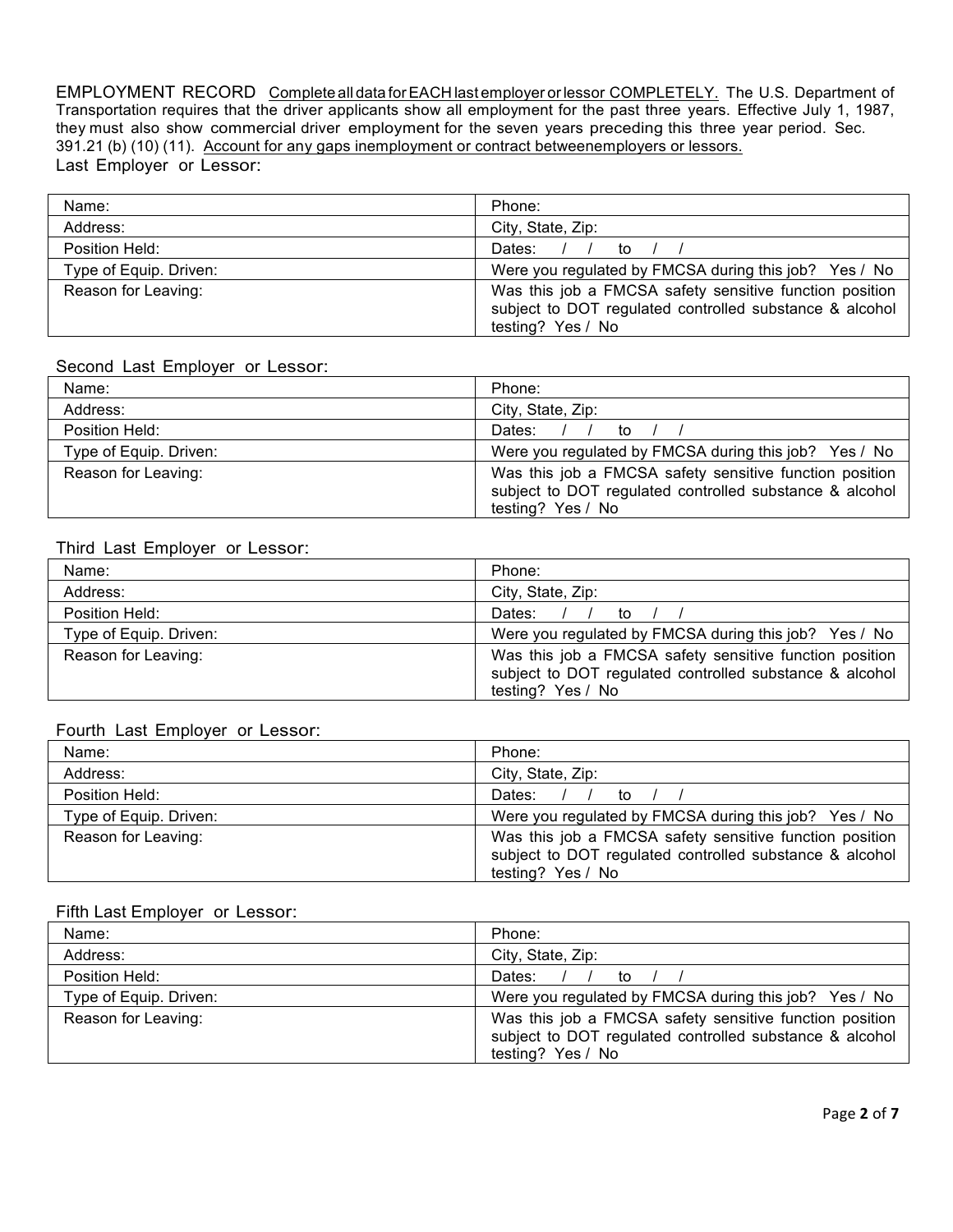EMPLOYMENT RECORD Complete all data for EACH last employer or lessor COMPLETELY. The U.S. Department of Transportation requires that the driver applicants show all employment for the past three years. Effective July 1, 1987, they must also show commercial driver employment for the seven years preceding this three year period. Sec. 391.21 (b) (10) (11). Account for any gaps inemployment or contract betweenemployers or lessors. Last Employer or Lessor:

| Name:                  | Phone:                                                                                                                                  |
|------------------------|-----------------------------------------------------------------------------------------------------------------------------------------|
| Address:               | City, State, Zip:                                                                                                                       |
| Position Held:         | Dates: $/ /$ to $/ /$                                                                                                                   |
| Type of Equip. Driven: | Were you regulated by FMCSA during this job? Yes / No                                                                                   |
| Reason for Leaving:    | Was this job a FMCSA safety sensitive function position<br>subject to DOT regulated controlled substance & alcohol<br>testing? Yes / No |

#### Second Last Employer or Lessor:

| Name:                  | Phone:                                                                                                                                  |
|------------------------|-----------------------------------------------------------------------------------------------------------------------------------------|
| Address:               | City, State, Zip:                                                                                                                       |
| Position Held:         | Dates: $/ /$ to $/$                                                                                                                     |
| Type of Equip. Driven: | Were you regulated by FMCSA during this job? Yes / No                                                                                   |
| Reason for Leaving:    | Was this job a FMCSA safety sensitive function position<br>subject to DOT regulated controlled substance & alcohol<br>testing? Yes / No |

#### Third Last Employer or Lessor:

| Name:                  | Phone:                                                                                                                                  |
|------------------------|-----------------------------------------------------------------------------------------------------------------------------------------|
| Address:               | City, State, Zip:                                                                                                                       |
| Position Held:         | Dates: $/ /$ to                                                                                                                         |
| Type of Equip. Driven: | Were you regulated by FMCSA during this job? Yes / No                                                                                   |
| Reason for Leaving:    | Was this job a FMCSA safety sensitive function position<br>subject to DOT regulated controlled substance & alcohol<br>testing? Yes / No |

#### Fourth Last Employer or Lessor:

| Name:                  | Phone:                                                                                                                                  |
|------------------------|-----------------------------------------------------------------------------------------------------------------------------------------|
| Address:               | City, State, Zip:                                                                                                                       |
| Position Held:         | Dates: $/ /$ to                                                                                                                         |
| Type of Equip. Driven: | Were you regulated by FMCSA during this job? Yes / No                                                                                   |
| Reason for Leaving:    | Was this job a FMCSA safety sensitive function position<br>subject to DOT regulated controlled substance & alcohol<br>testing? Yes / No |

# Fifth Last Employer or Lessor:

| Name:                  | Phone:                                                                                                                                  |
|------------------------|-----------------------------------------------------------------------------------------------------------------------------------------|
| Address:               | City, State, Zip:                                                                                                                       |
| Position Held:         | Dates: $/ /$ to                                                                                                                         |
| Type of Equip. Driven: | Were you regulated by FMCSA during this job? Yes / No                                                                                   |
| Reason for Leaving:    | Was this job a FMCSA safety sensitive function position<br>subject to DOT regulated controlled substance & alcohol<br>testing? Yes / No |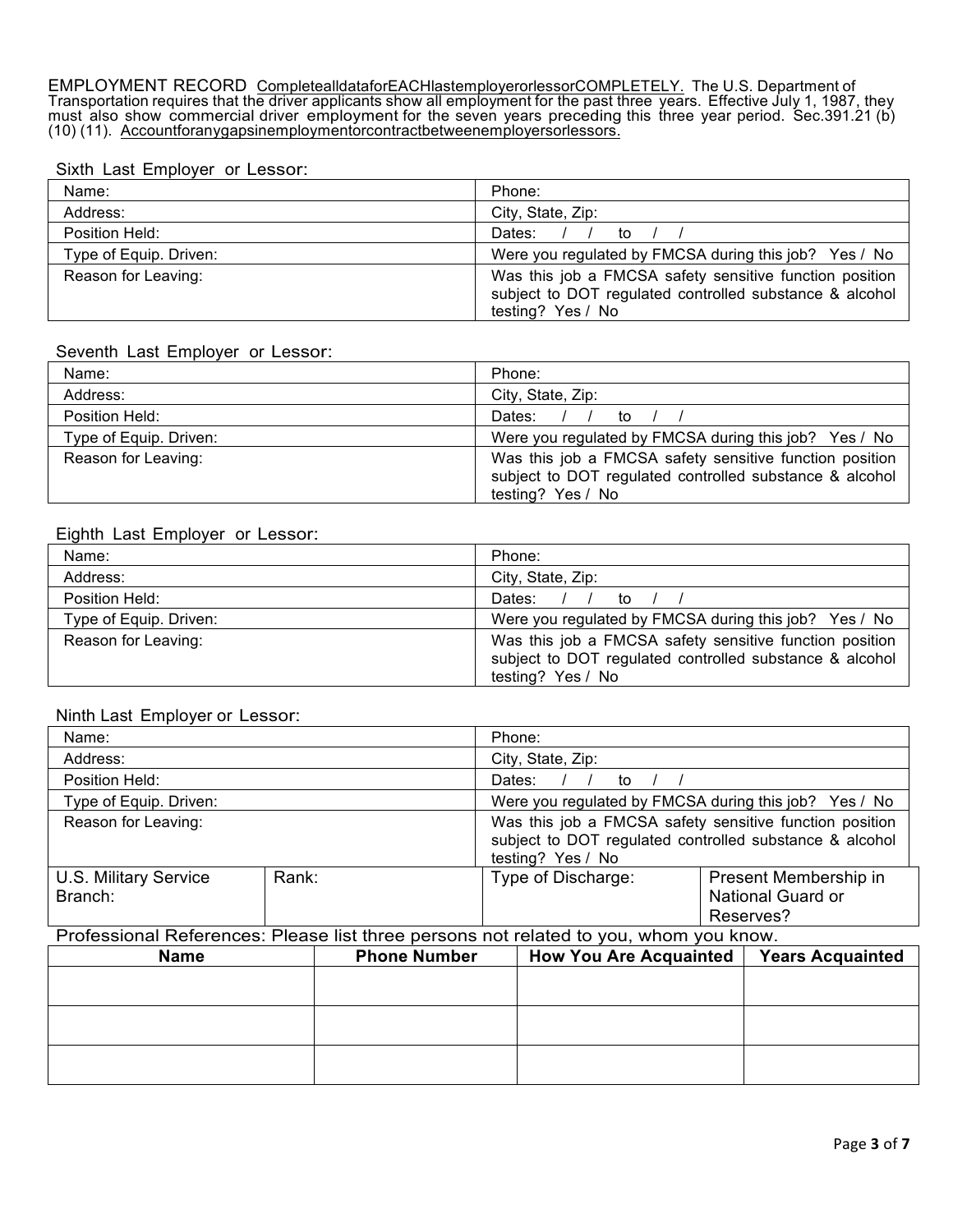EMPLOYMENT RECORD CompletealldataforEACHlastemployerorlessorCOMPLETELY. The U.S. Department of Transportation requires that the driver applicants show all employment for the past three years. Effective July 1, 1987, they must also show commercial driver employment for the seven years preceding this three year period. Sec.391.21 (b) (10) (11). Accountforanygapsinemploymentorcontractbetweenemployersorlessors.

#### Sixth Last Employer or Lessor:

| Name:                  | Phone:                                                                                                                                  |
|------------------------|-----------------------------------------------------------------------------------------------------------------------------------------|
| Address:               | City, State, Zip:                                                                                                                       |
| Position Held:         | Dates: $/ /$ to $/ /$                                                                                                                   |
| Type of Equip. Driven: | Were you regulated by FMCSA during this job? Yes / No                                                                                   |
| Reason for Leaving:    | Was this job a FMCSA safety sensitive function position<br>subject to DOT regulated controlled substance & alcohol<br>testing? Yes / No |

#### Seventh Last Employer or Lessor:

| Name:                  | Phone:                                                                                                                                  |  |
|------------------------|-----------------------------------------------------------------------------------------------------------------------------------------|--|
| Address:               | City, State, Zip:                                                                                                                       |  |
| Position Held:         | Dates: $/$<br>to                                                                                                                        |  |
| Type of Equip. Driven: | Were you regulated by FMCSA during this job? Yes / No                                                                                   |  |
| Reason for Leaving:    | Was this job a FMCSA safety sensitive function position<br>subject to DOT regulated controlled substance & alcohol<br>testing? Yes / No |  |

## Eighth Last Employer or Lessor:

| Name:                  | Phone:                                                                                                                                  |  |
|------------------------|-----------------------------------------------------------------------------------------------------------------------------------------|--|
| Address:               | City, State, Zip:                                                                                                                       |  |
| Position Held:         | Dates: $/$<br>to                                                                                                                        |  |
| Type of Equip. Driven: | Were you regulated by FMCSA during this job? Yes / No                                                                                   |  |
| Reason for Leaving:    | Was this job a FMCSA safety sensitive function position<br>subject to DOT regulated controlled substance & alcohol<br>testing? Yes / No |  |

#### Ninth Last Employer or Lessor:

| Name:                                   |       | Phone:                                                                                                                                  |                                                         |
|-----------------------------------------|-------|-----------------------------------------------------------------------------------------------------------------------------------------|---------------------------------------------------------|
| Address:                                |       | City, State, Zip:                                                                                                                       |                                                         |
| Position Held:                          |       | Dates:<br>to                                                                                                                            |                                                         |
| Type of Equip. Driven:                  |       | Were you regulated by FMCSA during this job? Yes / No                                                                                   |                                                         |
| Reason for Leaving:                     |       | Was this job a FMCSA safety sensitive function position<br>subject to DOT regulated controlled substance & alcohol<br>testing? Yes / No |                                                         |
| <b>U.S. Military Service</b><br>Branch: | Rank: | Type of Discharge:                                                                                                                      | Present Membership in<br>National Guard or<br>Reserves? |

## Professional References: Please list three persons not related to you, whom you know.

| <b>Name</b> | <b>Phone Number</b> | <b>How You Are Acquainted</b> | <b>Years Acquainted</b> |
|-------------|---------------------|-------------------------------|-------------------------|
|             |                     |                               |                         |
|             |                     |                               |                         |
|             |                     |                               |                         |
|             |                     |                               |                         |
|             |                     |                               |                         |
|             |                     |                               |                         |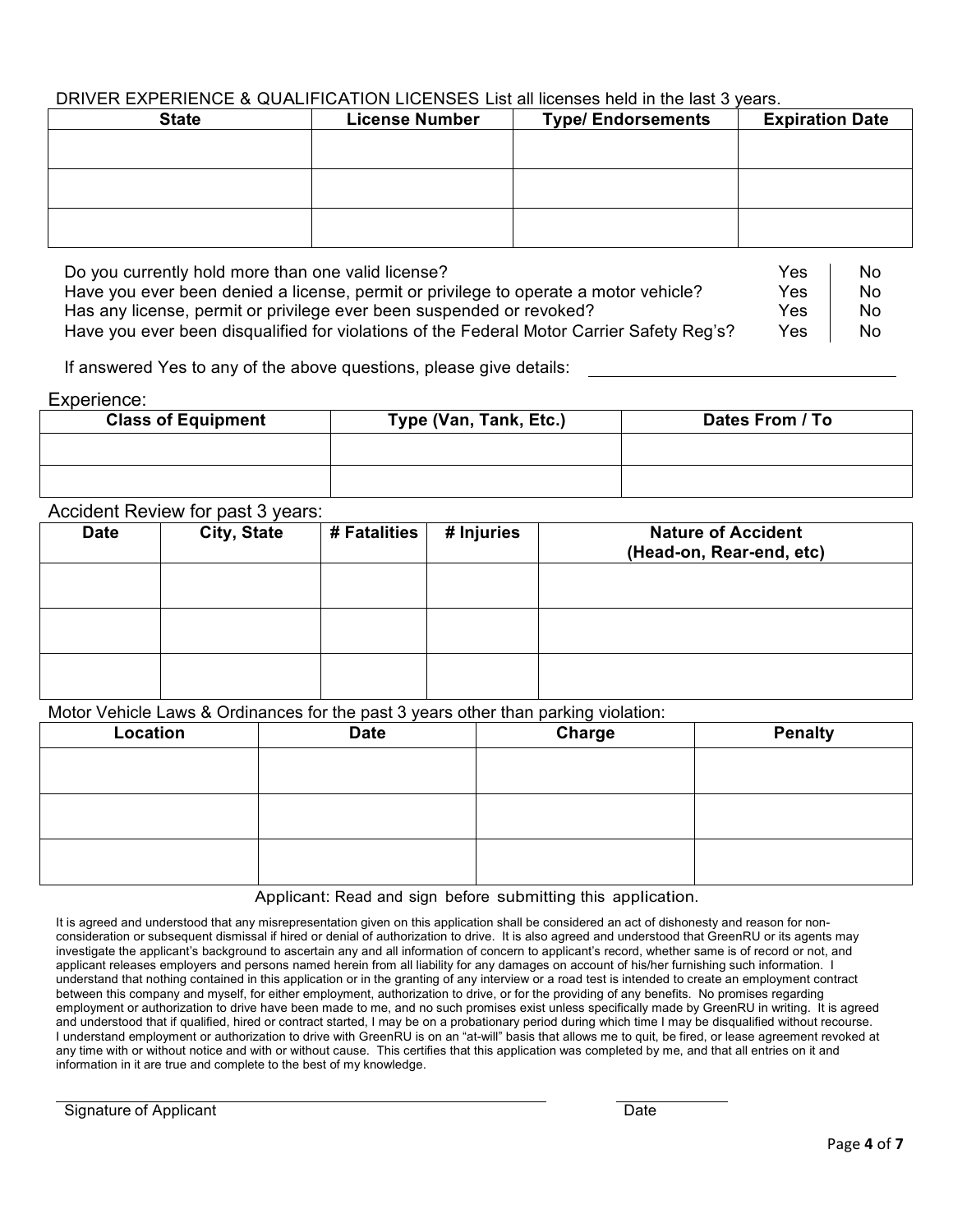# DRIVER EXPERIENCE & QUALIFICATION LICENSES List all licenses held in the last 3 years.

| <b>State</b> | <b>License Number</b> | <b>Type/ Endorsements</b> | <b>Expiration Date</b> |
|--------------|-----------------------|---------------------------|------------------------|
|              |                       |                           |                        |
|              |                       |                           |                        |
|              |                       |                           |                        |
|              |                       |                           |                        |
|              |                       |                           |                        |
|              |                       |                           |                        |

Do you currently hold more than one valid license? The North Control of the North Control of North Control of No Have you ever been denied a license, permit or privilege to operate a motor vehicle?  $Yes$  No Has any license, permit or privilege ever been suspended or revoked? The Moss Ches No Have you ever been disqualified for violations of the Federal Motor Carrier Safety Reg's? Yes | No

If answered Yes to any of the above questions, please give details:

## Experience:

| <b>Class of Equipment</b> | Type (Van, Tank, Etc.) | Dates From / To |
|---------------------------|------------------------|-----------------|
|                           |                        |                 |
|                           |                        |                 |

## Accident Review for past 3 years:

| <b>Date</b> | City, State | # Fatalities | # Injuries | <b>Nature of Accident</b><br>(Head-on, Rear-end, etc) |
|-------------|-------------|--------------|------------|-------------------------------------------------------|
|             |             |              |            |                                                       |
|             |             |              |            |                                                       |
|             |             |              |            |                                                       |

Motor Vehicle Laws & Ordinances for the past 3 years other than parking violation:

| Location | <b>Date</b> | Charge | <b>Penalty</b> |
|----------|-------------|--------|----------------|
|          |             |        |                |
|          |             |        |                |
|          |             |        |                |
|          |             |        |                |
|          |             |        |                |
|          |             |        |                |

#### Applicant: Read and sign before submitting this application.

It is agreed and understood that any misrepresentation given on this application shall be considered an act of dishonesty and reason for nonconsideration or subsequent dismissal if hired or denial of authorization to drive. It is also agreed and understood that GreenRU or its agents may investigate the applicant's background to ascertain any and all information of concern to applicant's record, whether same is of record or not, and applicant releases employers and persons named herein from all liability for any damages on account of his/her furnishing such information. I understand that nothing contained in this application or in the granting of any interview or a road test is intended to create an employment contract between this company and myself, for either employment, authorization to drive, or for the providing of any benefits. No promises regarding employment or authorization to drive have been made to me, and no such promises exist unless specifically made by GreenRU in writing. It is agreed and understood that if qualified, hired or contract started, I may be on a probationary period during which time I may be disqualified without recourse. I understand employment or authorization to drive with GreenRU is on an "at-will" basis that allows me to quit, be fired, or lease agreement revoked at any time with or without notice and with or without cause. This certifies that this application was completed by me, and that all entries on it and information in it are true and complete to the best of my knowledge.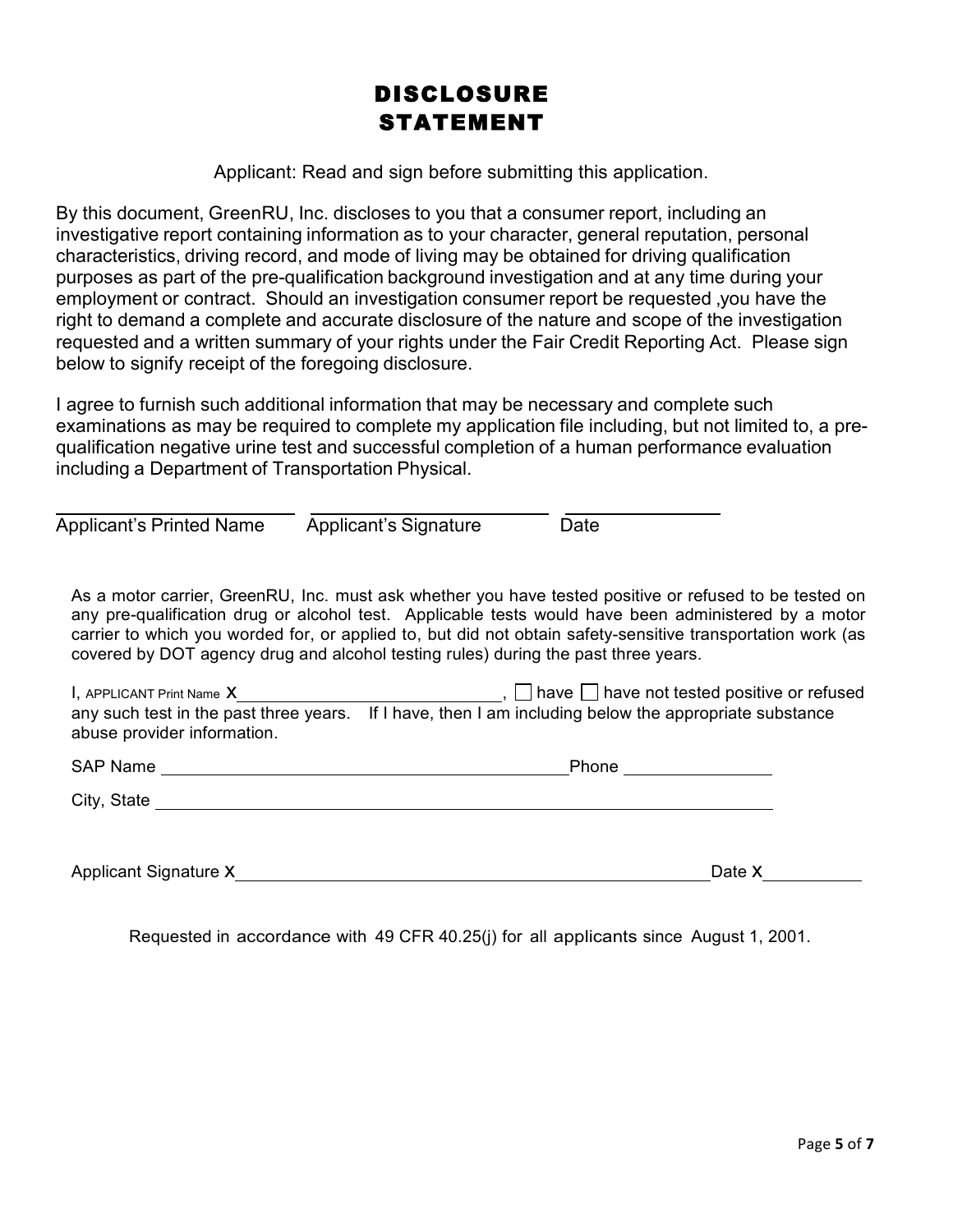# DISCLOSURE STATEMENT

Applicant: Read and sign before submitting this application.

By this document, GreenRU, Inc. discloses to you that a consumer report, including an investigative report containing information as to your character, general reputation, personal characteristics, driving record, and mode of living may be obtained for driving qualification purposes as part of the pre-qualification background investigation and at any time during your employment or contract. Should an investigation consumer report be requested ,you have the right to demand a complete and accurate disclosure of the nature and scope of the investigation requested and a written summary of your rights under the Fair Credit Reporting Act. Please sign below to signify receipt of the foregoing disclosure.

I agree to furnish such additional information that may be necessary and complete such examinations as may be required to complete my application file including, but not limited to, a prequalification negative urine test and successful completion of a human performance evaluation including a Department of Transportation Physical.

| <b>Applicant's Printed Name</b> | <b>Applicant's Signature</b> | Date |
|---------------------------------|------------------------------|------|

As a motor carrier, GreenRU, Inc. must ask whether you have tested positive or refused to be tested on any pre-qualification drug or alcohol test. Applicable tests would have been administered by a motor carrier to which you worded for, or applied to, but did not obtain safety-sensitive transportation work (as covered by DOT agency drug and alcohol testing rules) during the past three years.

| $\mathsf{I}$ , APPLICANT Print Name $\mathsf{X}$ | , $\Box$ have $\Box$ have not tested positive or refused                                              |
|--------------------------------------------------|-------------------------------------------------------------------------------------------------------|
| abuse provider information.                      | any such test in the past three years. If I have, then I am including below the appropriate substance |
| <b>SAP Name</b>                                  | Phone                                                                                                 |

| City, State |
|-------------|
|             |

Applicant Signature X and Date X Date X Date X

Requested in accordance with 49 CFR 40.25(j) for all applicants since August 1, 2001.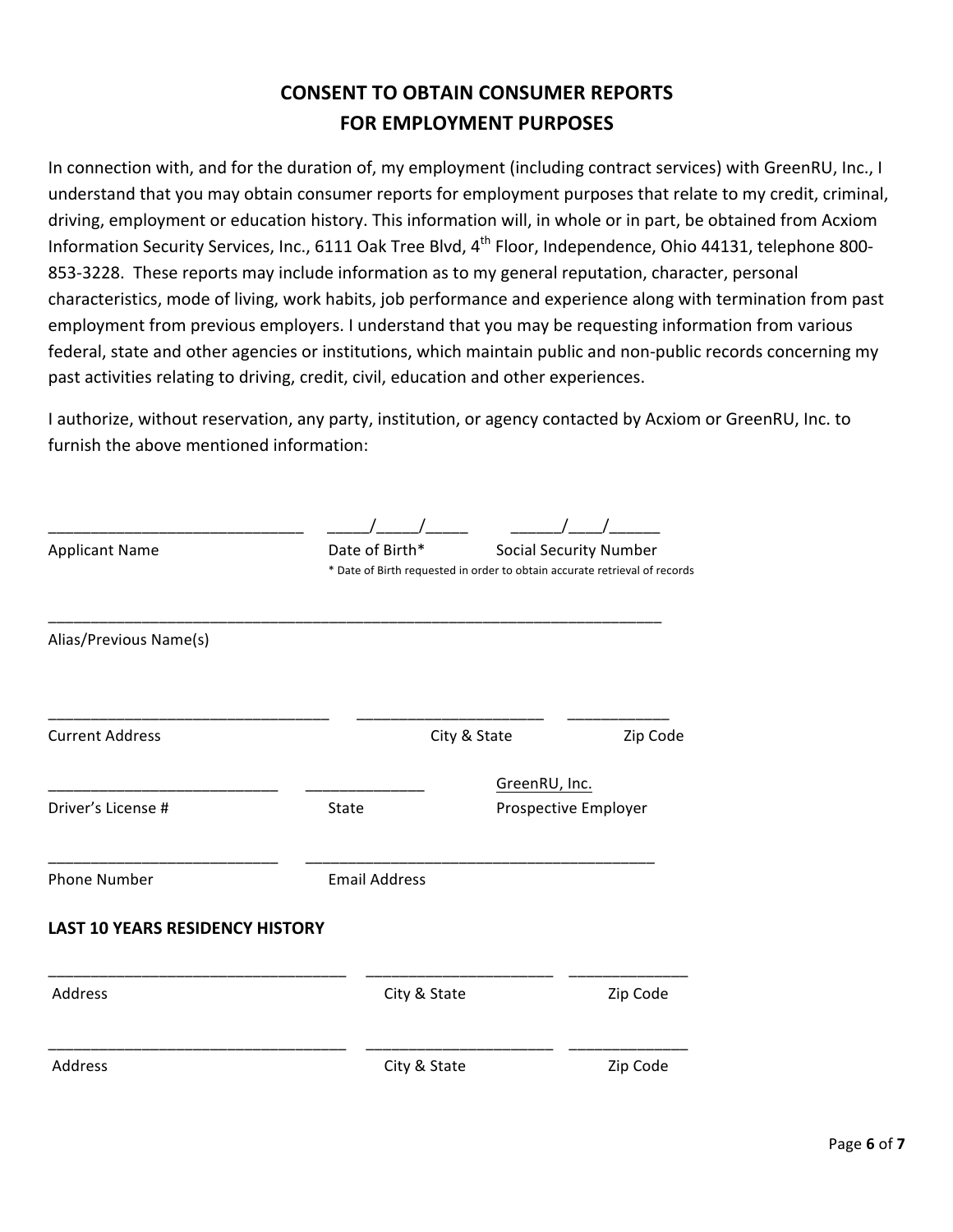# **CONSENT TO OBTAIN CONSUMER REPORTS FOR EMPLOYMENT PURPOSES**

In connection with, and for the duration of, my employment (including contract services) with GreenRU, Inc., I understand that you may obtain consumer reports for employment purposes that relate to my credit, criminal, driving, employment or education history. This information will, in whole or in part, be obtained from Acxiom Information Security Services, Inc., 6111 Oak Tree Blvd, 4<sup>th</sup> Floor, Independence, Ohio 44131, telephone 800-853-3228. These reports may include information as to my general reputation, character, personal characteristics, mode of living, work habits, job performance and experience along with termination from past employment from previous employers. I understand that you may be requesting information from various federal, state and other agencies or institutions, which maintain public and non-public records concerning my past activities relating to driving, credit, civil, education and other experiences.

I authorize, without reservation, any party, institution, or agency contacted by Acxiom or GreenRU, Inc. to furnish the above mentioned information:

| <b>Applicant Name</b>                  | Date of Birth*       | * Date of Birth requested in order to obtain accurate retrieval of records | <b>Social Security Number</b> |
|----------------------------------------|----------------------|----------------------------------------------------------------------------|-------------------------------|
| Alias/Previous Name(s)                 |                      |                                                                            |                               |
| <b>Current Address</b>                 |                      | City & State                                                               | Zip Code                      |
| Driver's License #                     | State                | GreenRU, Inc.                                                              | Prospective Employer          |
| <b>Phone Number</b>                    | <b>Email Address</b> |                                                                            |                               |
| <b>LAST 10 YEARS RESIDENCY HISTORY</b> |                      |                                                                            |                               |
| Address                                |                      | City & State                                                               | Zip Code                      |
| Address                                |                      | City & State                                                               | Zip Code                      |